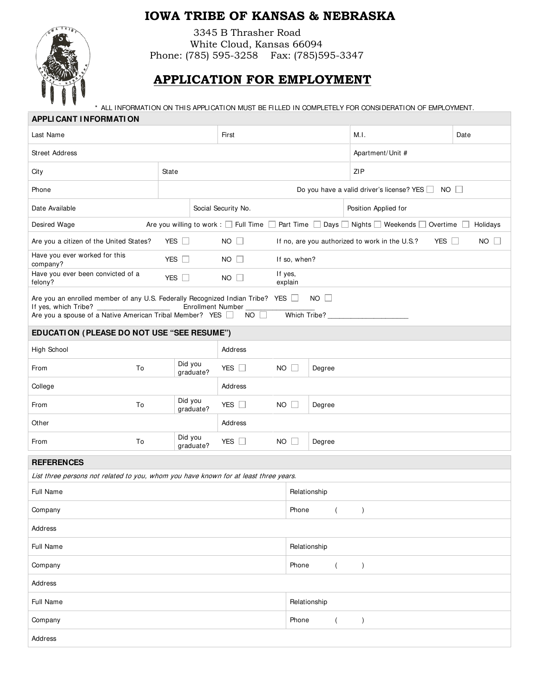## **IOWA TRIBE OF KANSAS & NEBRASKA**



3345 B Thrasher Road White Cloud, Kansas 66094 Phone: (785) 595-3258 Fax: (785)595-3347

## **APPLICATION FOR EMPLOYMENT**

\* ALL INFORMATION ON THIS APPLICATION MUST BE FILLED IN COMPLETELY FOR CONSIDERATION OF EMPLOYMENT.

| <b>APPLI CANT I NFORMATI ON</b>                                                                                                            |                         |                         |                                                                 |           |      |  |  |
|--------------------------------------------------------------------------------------------------------------------------------------------|-------------------------|-------------------------|-----------------------------------------------------------------|-----------|------|--|--|
| Last Name                                                                                                                                  |                         | First                   |                                                                 | M.I.      | Date |  |  |
| Street Address                                                                                                                             |                         | Apartment/Unit #        |                                                                 |           |      |  |  |
| City                                                                                                                                       |                         | ZIP                     |                                                                 |           |      |  |  |
| Phone                                                                                                                                      |                         |                         | Do you have a valid driver's license? YES $\Box$<br>$NO$ $\Box$ |           |      |  |  |
| Date Available                                                                                                                             | Social Security No.     |                         | Position Applied for                                            |           |      |  |  |
| Are you willing to work : $\Box$ Full Time<br>Part Time<br>Days Nights Weekends Overtime<br>Holidays<br>Desired Wage                       |                         |                         |                                                                 |           |      |  |  |
| NO<br>Are you a citizen of the United States?<br>YES $\Box$<br>$NO$ $\Box$<br>If no, are you authorized to work in the U.S.?<br>YES $\Box$ |                         |                         |                                                                 |           |      |  |  |
| Have you ever worked for this<br>company?                                                                                                  | YES $\Box$              | $NO$ $\Box$             | If so, when?                                                    |           |      |  |  |
| Have you ever been convicted of a<br>felony?                                                                                               | YES $\square$           | $NO$ $\Box$             | If yes,<br>explain                                              |           |      |  |  |
| Are you an enrolled member of any U.S. Federally Recognized Indian Tribe? YES In                                                           |                         |                         | NO                                                              |           |      |  |  |
| If yes, which Tribe?<br>Are you a spouse of a Native American Tribal Member? YES                                                           | Enrollment Number       | $NO$ $\Box$             | Which Tribe?                                                    |           |      |  |  |
| EDUCATION (PLEASE DO NOT USE "SEE RESUME")                                                                                                 |                         |                         |                                                                 |           |      |  |  |
| High School                                                                                                                                |                         | Address                 |                                                                 |           |      |  |  |
| To<br>From                                                                                                                                 | Did you<br>graduate?    | YES $\Box$              | $NO$ $\Box$<br>Degree                                           |           |      |  |  |
| College                                                                                                                                    |                         | Address                 |                                                                 |           |      |  |  |
| To<br>From                                                                                                                                 | Did you<br>graduate?    | YES $\Box$<br><b>NO</b> | Degree                                                          |           |      |  |  |
| Other                                                                                                                                      |                         | Address                 |                                                                 |           |      |  |  |
| To<br>From                                                                                                                                 | Did you<br>graduate?    | YES $\square$           | $NO$ $\Box$<br>Degree                                           |           |      |  |  |
| <b>REFERENCES</b>                                                                                                                          |                         |                         |                                                                 |           |      |  |  |
| List three persons not related to you, whom you have known for at least three years.                                                       |                         |                         |                                                                 |           |      |  |  |
| Full Name                                                                                                                                  | Relationship            |                         |                                                                 |           |      |  |  |
| Company                                                                                                                                    |                         |                         | Phone<br>$\overline{ }$                                         | $\lambda$ |      |  |  |
| Address                                                                                                                                    |                         |                         |                                                                 |           |      |  |  |
| Full Name                                                                                                                                  | Relationship            |                         |                                                                 |           |      |  |  |
| Company                                                                                                                                    | Phone<br>$\overline{ }$ |                         |                                                                 |           |      |  |  |
| Address                                                                                                                                    |                         |                         |                                                                 |           |      |  |  |
| Full Name                                                                                                                                  | Relationship            |                         |                                                                 |           |      |  |  |
| Company                                                                                                                                    |                         |                         | Phone<br>$\overline{ }$                                         | $\lambda$ |      |  |  |
| Address                                                                                                                                    |                         |                         |                                                                 |           |      |  |  |